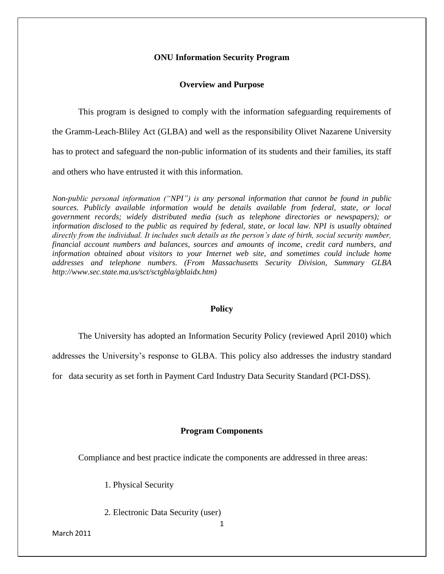## **ONU Information Security Program**

## **Overview and Purpose**

This program is designed to comply with the information safeguarding requirements of the Gramm-Leach-Bliley Act (GLBA) and well as the responsibility Olivet Nazarene University has to protect and safeguard the non-public information of its students and their families, its staff and others who have entrusted it with this information.

*Non-public personal information ("NPI") is any personal information that cannot be found in public sources. Publicly available information would be details available from federal, state, or local government records; widely distributed media (such as telephone directories or newspapers); or information disclosed to the public as required by federal, state, or local law. NPI is usually obtained directly from the individual. It includes such details as the person's date of birth, social security number, financial account numbers and balances, sources and amounts of income, credit card numbers, and information obtained about visitors to your Internet web site, and sometimes could include home addresses and telephone numbers. (From Massachusetts Security Division, Summary GLBA http://www.sec.state.ma.us/sct/sctgbla/gblaidx.htm)*

# **Policy**

The University has adopted an Information Security Policy (reviewed April 2010) which

addresses the University's response to GLBA. This policy also addresses the industry standard

for data security as set forth in Payment Card Industry Data Security Standard (PCI-DSS).

## **Program Components**

Compliance and best practice indicate the components are addressed in three areas:

- 1. Physical Security
- 2. Electronic Data Security (user)

March 2011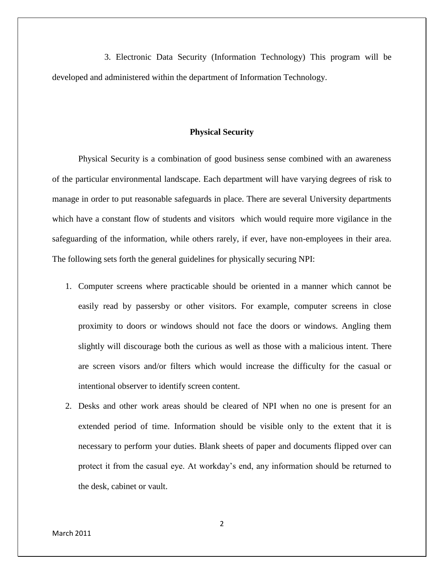3. Electronic Data Security (Information Technology) This program will be developed and administered within the department of Information Technology.

## **Physical Security**

Physical Security is a combination of good business sense combined with an awareness of the particular environmental landscape. Each department will have varying degrees of risk to manage in order to put reasonable safeguards in place. There are several University departments which have a constant flow of students and visitors which would require more vigilance in the safeguarding of the information, while others rarely, if ever, have non-employees in their area. The following sets forth the general guidelines for physically securing NPI:

- 1. Computer screens where practicable should be oriented in a manner which cannot be easily read by passersby or other visitors. For example, computer screens in close proximity to doors or windows should not face the doors or windows. Angling them slightly will discourage both the curious as well as those with a malicious intent. There are screen visors and/or filters which would increase the difficulty for the casual or intentional observer to identify screen content.
- 2. Desks and other work areas should be cleared of NPI when no one is present for an extended period of time. Information should be visible only to the extent that it is necessary to perform your duties. Blank sheets of paper and documents flipped over can protect it from the casual eye. At workday's end, any information should be returned to the desk, cabinet or vault.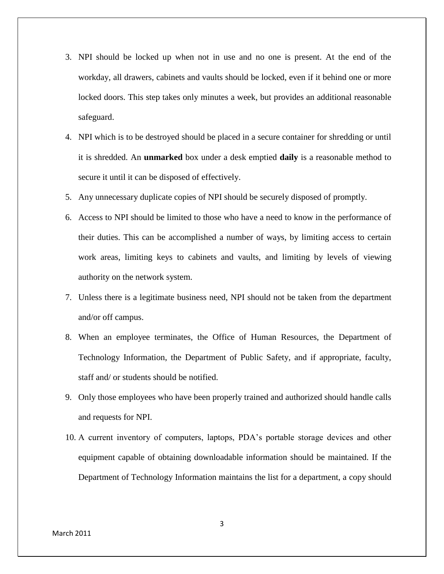- 3. NPI should be locked up when not in use and no one is present. At the end of the workday, all drawers, cabinets and vaults should be locked, even if it behind one or more locked doors. This step takes only minutes a week, but provides an additional reasonable safeguard.
- 4. NPI which is to be destroyed should be placed in a secure container for shredding or until it is shredded. An **unmarked** box under a desk emptied **daily** is a reasonable method to secure it until it can be disposed of effectively.
- 5. Any unnecessary duplicate copies of NPI should be securely disposed of promptly.
- 6. Access to NPI should be limited to those who have a need to know in the performance of their duties. This can be accomplished a number of ways, by limiting access to certain work areas, limiting keys to cabinets and vaults, and limiting by levels of viewing authority on the network system.
- 7. Unless there is a legitimate business need, NPI should not be taken from the department and/or off campus.
- 8. When an employee terminates, the Office of Human Resources, the Department of Technology Information, the Department of Public Safety, and if appropriate, faculty, staff and/ or students should be notified.
- 9. Only those employees who have been properly trained and authorized should handle calls and requests for NPI.
- 10. A current inventory of computers, laptops, PDA's portable storage devices and other equipment capable of obtaining downloadable information should be maintained. If the Department of Technology Information maintains the list for a department, a copy should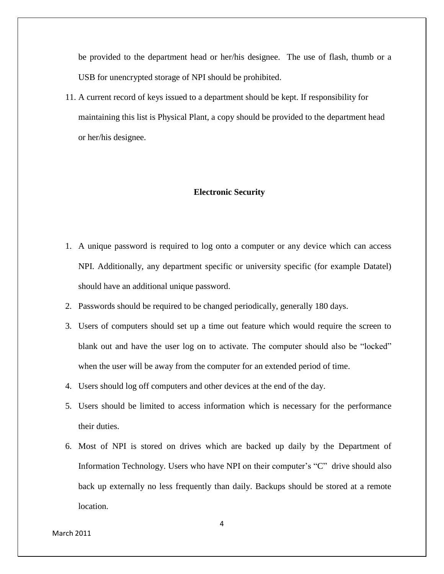be provided to the department head or her/his designee. The use of flash, thumb or a USB for unencrypted storage of NPI should be prohibited.

11. A current record of keys issued to a department should be kept. If responsibility for maintaining this list is Physical Plant, a copy should be provided to the department head or her/his designee.

#### **Electronic Security**

- 1. A unique password is required to log onto a computer or any device which can access NPI. Additionally, any department specific or university specific (for example Datatel) should have an additional unique password.
- 2. Passwords should be required to be changed periodically, generally 180 days.
- 3. Users of computers should set up a time out feature which would require the screen to blank out and have the user log on to activate. The computer should also be "locked" when the user will be away from the computer for an extended period of time.
- 4. Users should log off computers and other devices at the end of the day.
- 5. Users should be limited to access information which is necessary for the performance their duties.
- 6. Most of NPI is stored on drives which are backed up daily by the Department of Information Technology. Users who have NPI on their computer's "C" drive should also back up externally no less frequently than daily. Backups should be stored at a remote location.

March 2011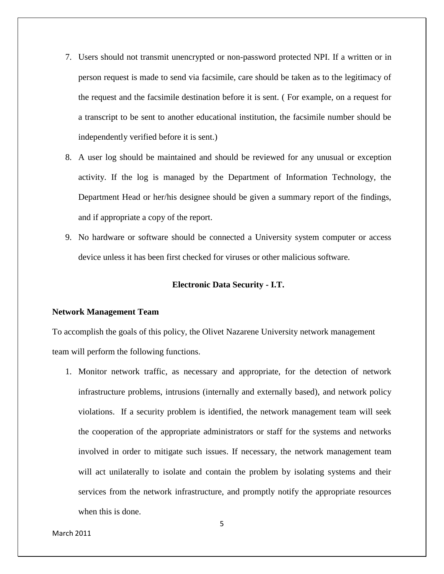- 7. Users should not transmit unencrypted or non-password protected NPI. If a written or in person request is made to send via facsimile, care should be taken as to the legitimacy of the request and the facsimile destination before it is sent. ( For example, on a request for a transcript to be sent to another educational institution, the facsimile number should be independently verified before it is sent.)
- 8. A user log should be maintained and should be reviewed for any unusual or exception activity. If the log is managed by the Department of Information Technology, the Department Head or her/his designee should be given a summary report of the findings, and if appropriate a copy of the report.
- 9. No hardware or software should be connected a University system computer or access device unless it has been first checked for viruses or other malicious software.

## **Electronic Data Security - I.T.**

#### **Network Management Team**

To accomplish the goals of this policy, the Olivet Nazarene University network management team will perform the following functions.

1. Monitor network traffic, as necessary and appropriate, for the detection of network infrastructure problems, intrusions (internally and externally based), and network policy violations. If a security problem is identified, the network management team will seek the cooperation of the appropriate administrators or staff for the systems and networks involved in order to mitigate such issues. If necessary, the network management team will act unilaterally to isolate and contain the problem by isolating systems and their services from the network infrastructure, and promptly notify the appropriate resources when this is done.

March 2011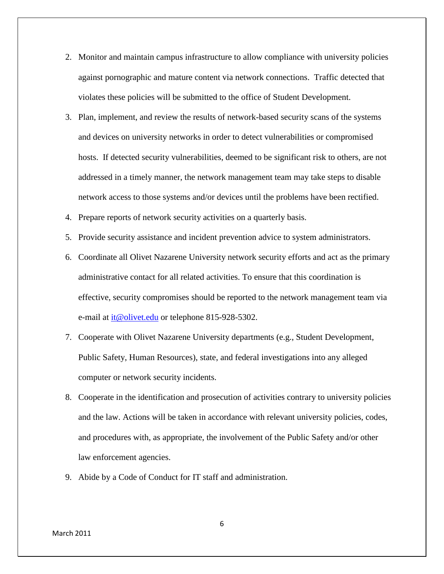- 2. Monitor and maintain campus infrastructure to allow compliance with university policies against pornographic and mature content via network connections. Traffic detected that violates these policies will be submitted to the office of Student Development.
- 3. Plan, implement, and review the results of network-based security scans of the systems and devices on university networks in order to detect vulnerabilities or compromised hosts. If detected security vulnerabilities, deemed to be significant risk to others, are not addressed in a timely manner, the network management team may take steps to disable network access to those systems and/or devices until the problems have been rectified.
- 4. Prepare reports of network security activities on a quarterly basis.
- 5. Provide security assistance and incident prevention advice to system administrators.
- 6. Coordinate all Olivet Nazarene University network security efforts and act as the primary administrative contact for all related activities. To ensure that this coordination is effective, security compromises should be reported to the network management team via e-mail at  $\frac{i \alpha_0}{i \alpha_1}$  or telephone 815-928-5302.
- 7. Cooperate with Olivet Nazarene University departments (e.g., Student Development, Public Safety, Human Resources), state, and federal investigations into any alleged computer or network security incidents.
- 8. Cooperate in the identification and prosecution of activities contrary to university policies and the law. Actions will be taken in accordance with relevant university policies, codes, and procedures with, as appropriate, the involvement of the Public Safety and/or other law enforcement agencies.
- 9. Abide by a Code of Conduct for IT staff and administration.

6